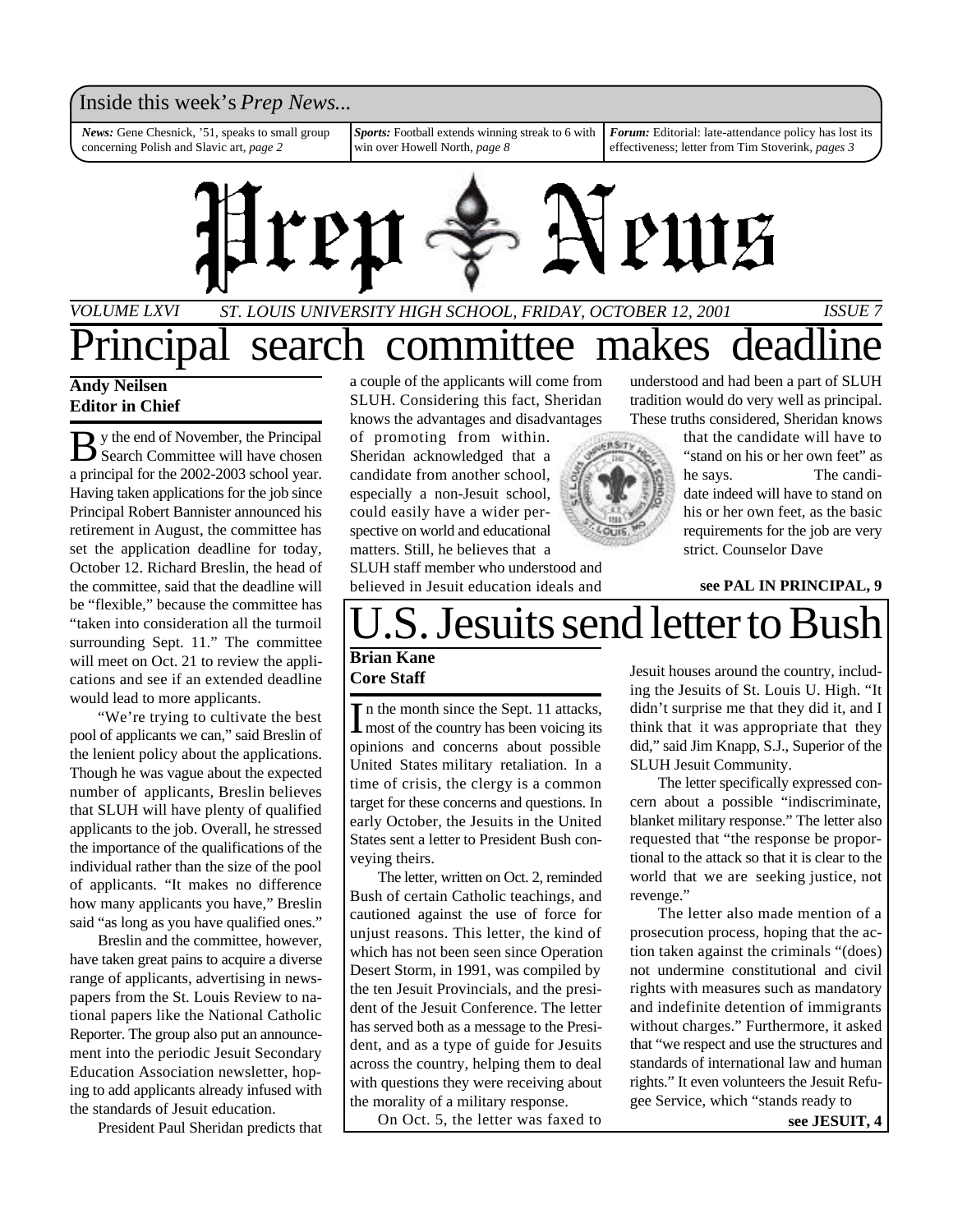#### Inside this week's *Prep News*...

*News:* Gene Chesnick, '51, speaks to small group concerning Polish and Slavic art, *page 2*

*Sports:* Football extends winning streak to 6 with win over Howell North, *page 8*

*Forum:* Editorial: late-attendance policy has lost its effectiveness; letter from Tim Stoverink, *pages 3*



### *ST. LOUIS UNIVERSITY HIGH SCHOOL, FRIDAY, OCTOBER 12, 2001 ISSUE 7 VOLUME LXVI* incipal search committee makes dead

#### **Andy Neilsen Editor in Chief**

By the end of November, the Principal<br>Search Committee will have chosen y the end of November, the Principal a principal for the 2002-2003 school year. Having taken applications for the job since Principal Robert Bannister announced his retirement in August, the committee has set the application deadline for today, October 12. Richard Breslin, the head of the committee, said that the deadline will be "flexible," because the committee has "taken into consideration all the turmoil surrounding Sept. 11." The committee will meet on Oct. 21 to review the applications and see if an extended deadline would lead to more applicants.

"We're trying to cultivate the best pool of applicants we can," said Breslin of the lenient policy about the applications. Though he was vague about the expected number of applicants, Breslin believes that SLUH will have plenty of qualified applicants to the job. Overall, he stressed the importance of the qualifications of the individual rather than the size of the pool of applicants. "It makes no difference how many applicants you have," Breslin said "as long as you have qualified ones."

Breslin and the committee, however, have taken great pains to acquire a diverse range of applicants, advertising in newspapers from the St. Louis Review to national papers like the National Catholic Reporter. The group also put an announcement into the periodic Jesuit Secondary Education Association newsletter, hoping to add applicants already infused with the standards of Jesuit education.

President Paul Sheridan predicts that

a couple of the applicants will come from SLUH. Considering this fact, Sheridan knows the advantages and disadvantages

of promoting from within. Sheridan acknowledged that a candidate from another school, especially a non-Jesuit school, could easily have a wider perspective on world and educational matters. Still, he believes that a

SLUH staff member who understood and believed in Jesuit education ideals and

understood and had been a part of SLUH tradition would do very well as principal. These truths considered, Sheridan knows

> that the candidate will have to "stand on his or her own feet" as he says. The candidate indeed will have to stand on his or her own feet, as the basic requirements for the job are very strict. Counselor Dave

#### **see PAL IN PRINCIPAL, 9**

# S. Jesuits send letter to Bush

#### **Brian Kane Core Staff**

 $\prod$ n the month since the Sept. 11 attacks,<br>
the country has been voicing its n the month since the Sept. 11 attacks, opinions and concerns about possible United States military retaliation. In a time of crisis, the clergy is a common target for these concerns and questions. In early October, the Jesuits in the United States sent a letter to President Bush conveying theirs.

The letter, written on Oct. 2, reminded Bush of certain Catholic teachings, and cautioned against the use of force for unjust reasons. This letter, the kind of which has not been seen since Operation Desert Storm, in 1991, was compiled by the ten Jesuit Provincials, and the president of the Jesuit Conference. The letter has served both as a message to the President, and as a type of guide for Jesuits across the country, helping them to deal with questions they were receiving about the morality of a military response.

On Oct. 5, the letter was faxed to

Jesuit houses around the country, including the Jesuits of St. Louis U. High. "It didn't surprise me that they did it, and I think that it was appropriate that they did," said Jim Knapp, S.J., Superior of the SLUH Jesuit Community.

The letter specifically expressed concern about a possible "indiscriminate, blanket military response." The letter also requested that "the response be proportional to the attack so that it is clear to the world that we are seeking justice, not revenge."

The letter also made mention of a prosecution process, hoping that the action taken against the criminals "(does) not undermine constitutional and civil rights with measures such as mandatory and indefinite detention of immigrants without charges." Furthermore, it asked that "we respect and use the structures and standards of international law and human rights." It even volunteers the Jesuit Refugee Service, which "stands ready to

**see JESUIT, 4**

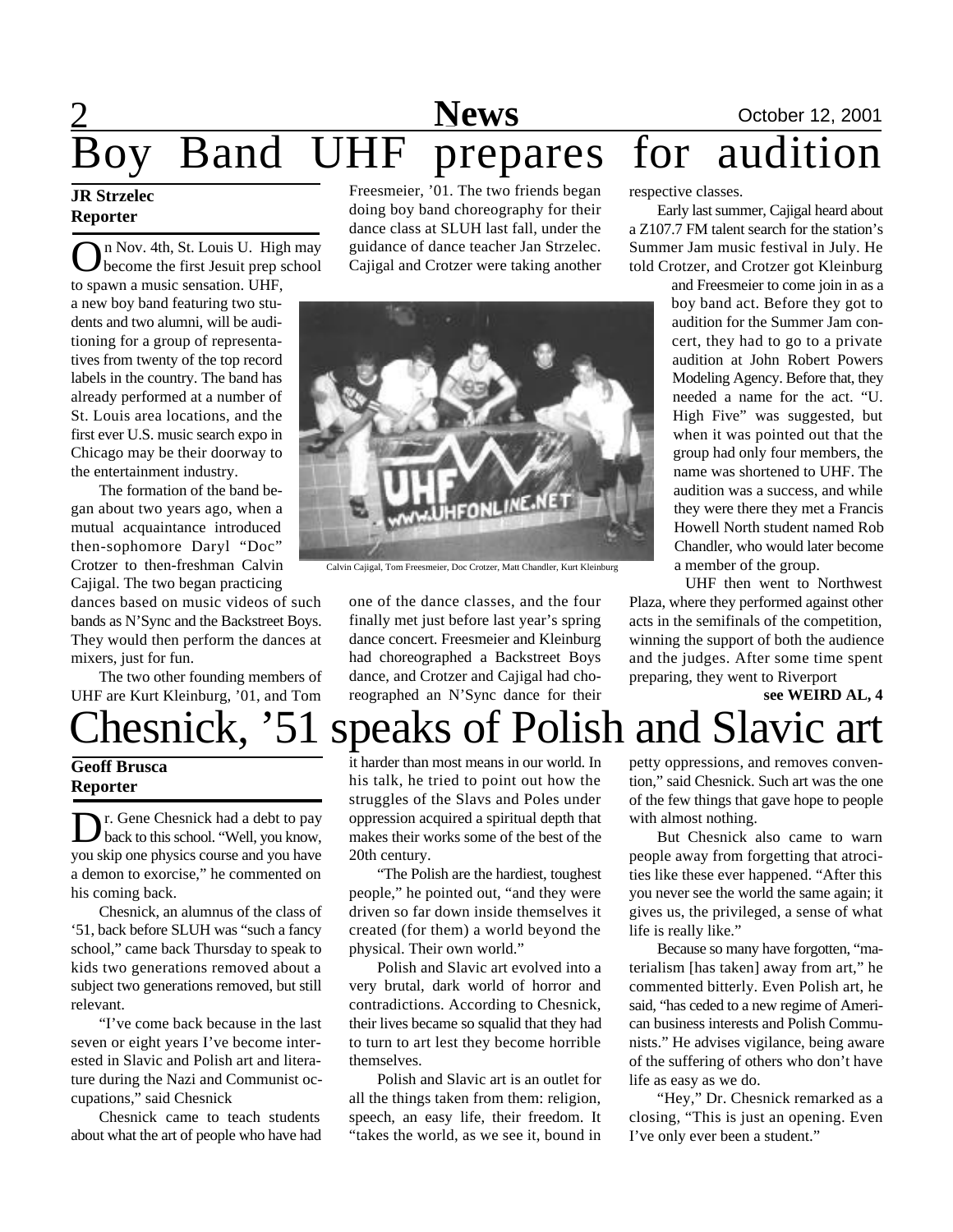# 2 **Sports News** October 12, 2001 Boy Band UHF prepares for audition

#### **JR Strzelec Reporter**

On Nov. 4th, St. Louis U. High may<br>become the first Jesuit prep school n Nov. 4th, St. Louis U. High may to spawn a music sensation. UHF, a new boy band featuring two students and two alumni, will be auditioning for a group of representatives from twenty of the top record labels in the country. The band has already performed at a number of St. Louis area locations, and the first ever U.S. music search expo in Chicago may be their doorway to the entertainment industry.

The formation of the band began about two years ago, when a mutual acquaintance introduced then-sophomore Daryl "Doc" Crotzer to then-freshman Calvin Cajigal. The two began practicing

dances based on music videos of such bands as N'Sync and the Backstreet Boys. They would then perform the dances at mixers, just for fun.

The two other founding members of UHF are Kurt Kleinburg, '01, and Tom

Freesmeier, '01. The two friends began doing boy band choreography for their dance class at SLUH last fall, under the guidance of dance teacher Jan Strzelec. Cajigal and Crotzer were taking another



Calvin Cajigal, Tom Freesmeier, Doc Crotzer, Matt Chandler, Kurt Kleinburg

one of the dance classes, and the four finally met just before last year's spring dance concert. Freesmeier and Kleinburg had choreographed a Backstreet Boys dance, and Crotzer and Cajigal had choreographed an N'Sync dance for their respective classes.

Early last summer, Cajigal heard about a Z107.7 FM talent search for the station's Summer Jam music festival in July. He told Crotzer, and Crotzer got Kleinburg

> and Freesmeier to come join in as a boy band act. Before they got to audition for the Summer Jam concert, they had to go to a private audition at John Robert Powers Modeling Agency. Before that, they needed a name for the act. "U. High Five" was suggested, but when it was pointed out that the group had only four members, the name was shortened to UHF. The audition was a success, and while they were there they met a Francis Howell North student named Rob Chandler, who would later become a member of the group.

UHF then went to Northwest Plaza, where they performed against other acts in the semifinals of the competition, winning the support of both the audience and the judges. After some time spent preparing, they went to Riverport

**see WEIRD AL, 4**

# hesnick, '51 speaks of Polish and Slavic art

#### **Geoff Brusca Reporter**

D r. Gene Chesnick had a debt to pay<br>back to this school. "Well, you know, r. Gene Chesnick had a debt to pay you skip one physics course and you have a demon to exorcise," he commented on his coming back.

Chesnick, an alumnus of the class of '51, back before SLUH was "such a fancy school," came back Thursday to speak to kids two generations removed about a subject two generations removed, but still relevant.

"I've come back because in the last seven or eight years I've become interested in Slavic and Polish art and literature during the Nazi and Communist occupations," said Chesnick

Chesnick came to teach students about what the art of people who have had it harder than most means in our world. In his talk, he tried to point out how the struggles of the Slavs and Poles under oppression acquired a spiritual depth that makes their works some of the best of the 20th century.

"The Polish are the hardiest, toughest people," he pointed out, "and they were driven so far down inside themselves it created (for them) a world beyond the physical. Their own world."

Polish and Slavic art evolved into a very brutal, dark world of horror and contradictions. According to Chesnick, their lives became so squalid that they had to turn to art lest they become horrible themselves.

Polish and Slavic art is an outlet for all the things taken from them: religion, speech, an easy life, their freedom. It "takes the world, as we see it, bound in petty oppressions, and removes convention," said Chesnick. Such art was the one of the few things that gave hope to people with almost nothing.

But Chesnick also came to warn people away from forgetting that atrocities like these ever happened. "After this you never see the world the same again; it gives us, the privileged, a sense of what life is really like."

Because so many have forgotten, "materialism [has taken] away from art," he commented bitterly. Even Polish art, he said, "has ceded to a new regime of American business interests and Polish Communists." He advises vigilance, being aware of the suffering of others who don't have life as easy as we do.

"Hey," Dr. Chesnick remarked as a closing, "This is just an opening. Even I've only ever been a student."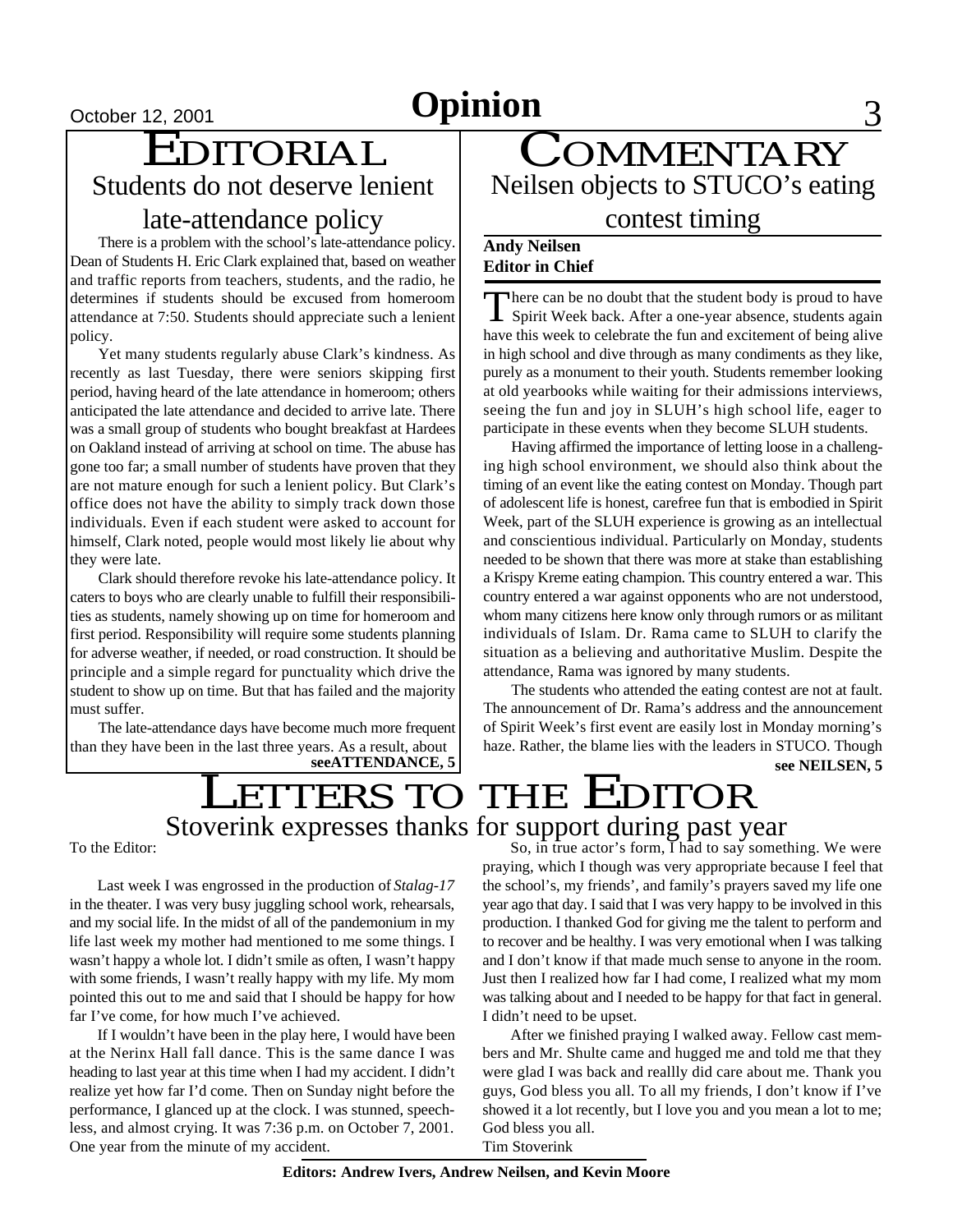# October <u>12, 2001</u> **Opinion** 3

# $\frac{\text{October 12, 2001}}{\text{EDITORIAL}}$ Students do not deserve lenient late-attendance policy

There is a problem with the school's late-attendance policy. Dean of Students H. Eric Clark explained that, based on weather and traffic reports from teachers, students, and the radio, he determines if students should be excused from homeroom attendance at 7:50. Students should appreciate such a lenient policy.

Yet many students regularly abuse Clark's kindness. As recently as last Tuesday, there were seniors skipping first period, having heard of the late attendance in homeroom; others anticipated the late attendance and decided to arrive late. There was a small group of students who bought breakfast at Hardees on Oakland instead of arriving at school on time. The abuse has gone too far; a small number of students have proven that they are not mature enough for such a lenient policy. But Clark's office does not have the ability to simply track down those individuals. Even if each student were asked to account for himself, Clark noted, people would most likely lie about why they were late.

Clark should therefore revoke his late-attendance policy. It caters to boys who are clearly unable to fulfill their responsibilities as students, namely showing up on time for homeroom and first period. Responsibility will require some students planning for adverse weather, if needed, or road construction. It should be principle and a simple regard for punctuality which drive the student to show up on time. But that has failed and the majority must suffer.

The late-attendance days have become much more frequent than they have been in the last three years. As a result, about

**COMMENTARY** Neilsen objects to STUCO's eating contest timing

#### **Andy Neilsen Editor in Chief**

There can be no doubt that the student body is proud to have<br>Spirit Week back. After a one-year absence, students again here can be no doubt that the student body is proud to have have this week to celebrate the fun and excitement of being alive in high school and dive through as many condiments as they like, purely as a monument to their youth. Students remember looking at old yearbooks while waiting for their admissions interviews, seeing the fun and joy in SLUH's high school life, eager to participate in these events when they become SLUH students.

Having affirmed the importance of letting loose in a challenging high school environment, we should also think about the timing of an event like the eating contest on Monday. Though part of adolescent life is honest, carefree fun that is embodied in Spirit Week, part of the SLUH experience is growing as an intellectual and conscientious individual. Particularly on Monday, students needed to be shown that there was more at stake than establishing a Krispy Kreme eating champion. This country entered a war. This country entered a war against opponents who are not understood, whom many citizens here know only through rumors or as militant individuals of Islam. Dr. Rama came to SLUH to clarify the situation as a believing and authoritative Muslim. Despite the attendance, Rama was ignored by many students.

The students who attended the eating contest are not at fault. The announcement of Dr. Rama's address and the announcement of Spirit Week's first event are easily lost in Monday morning's haze. Rather, the blame lies with the leaders in STUCO. Though

## Stoverink expresses thanks for support during past year LETTERS TO THE EDITOR **seeATTENDANCE, 5 see NEILSEN, 5**

To the Editor:

Last week I was engrossed in the production of *Stalag-17* in the theater. I was very busy juggling school work, rehearsals, and my social life. In the midst of all of the pandemonium in my life last week my mother had mentioned to me some things. I wasn't happy a whole lot. I didn't smile as often, I wasn't happy with some friends, I wasn't really happy with my life. My mom pointed this out to me and said that I should be happy for how far I've come, for how much I've achieved.

If I wouldn't have been in the play here, I would have been at the Nerinx Hall fall dance. This is the same dance I was heading to last year at this time when I had my accident. I didn't realize yet how far I'd come. Then on Sunday night before the performance, I glanced up at the clock. I was stunned, speechless, and almost crying. It was 7:36 p.m. on October 7, 2001. One year from the minute of my accident.

So, in true actor's form, I had to say something. We were praying, which I though was very appropriate because I feel that the school's, my friends', and family's prayers saved my life one year ago that day. I said that I was very happy to be involved in this production. I thanked God for giving me the talent to perform and to recover and be healthy. I was very emotional when I was talking and I don't know if that made much sense to anyone in the room. Just then I realized how far I had come, I realized what my mom was talking about and I needed to be happy for that fact in general. I didn't need to be upset.

After we finished praying I walked away. Fellow cast members and Mr. Shulte came and hugged me and told me that they were glad I was back and reallly did care about me. Thank you guys, God bless you all. To all my friends, I don't know if I've showed it a lot recently, but I love you and you mean a lot to me; God bless you all.

Tim Stoverink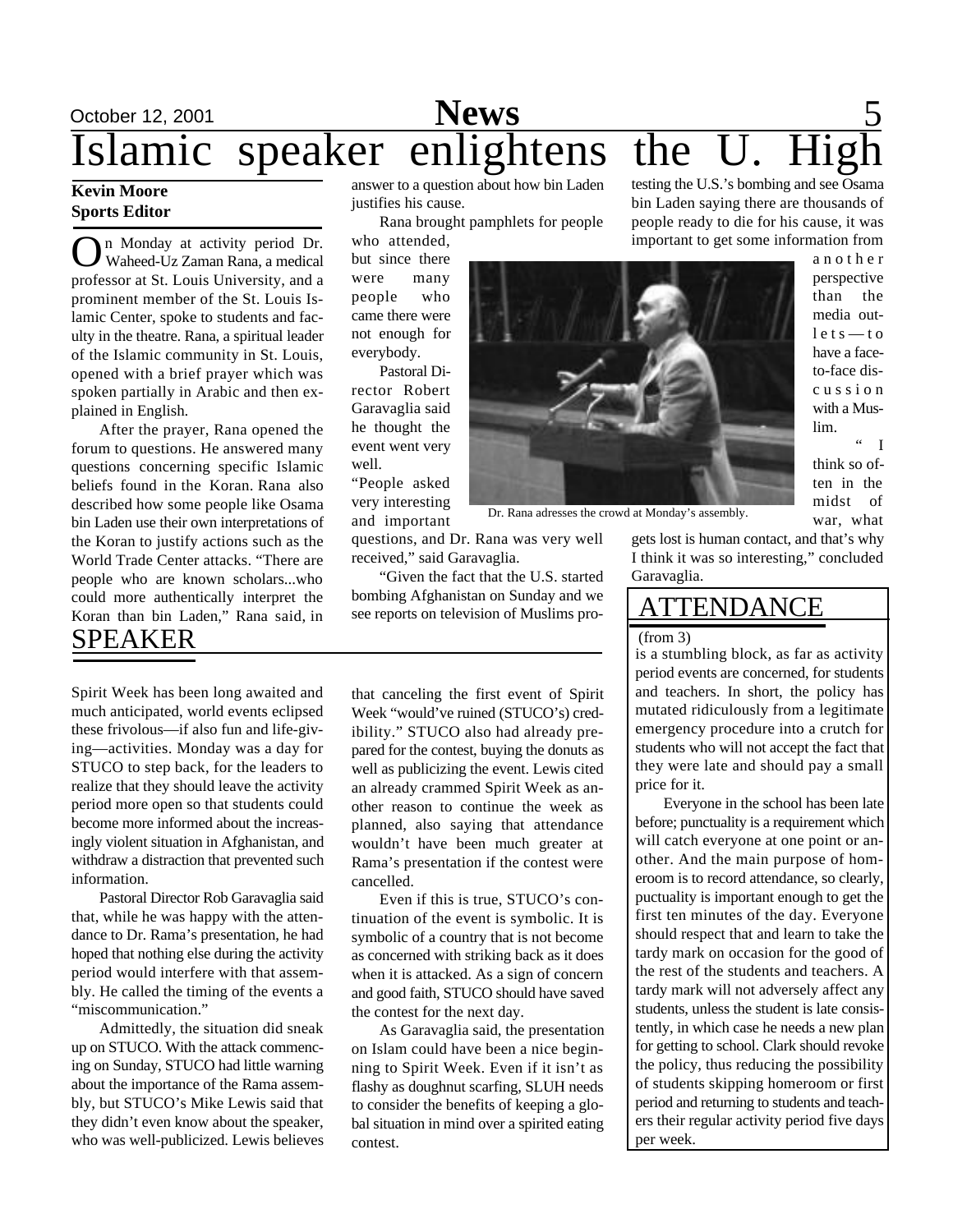## October 12, 2001 **News** 5 Islamic speaker enlightens the **News**

#### **Kevin Moore Sports Editor**

**O**n Monday at activity period Dr.<br>
Waheed-Uz Zaman Rana, a medical<br>
professor at St. Louis University, and a n Monday at activity period Dr. Waheed-Uz Zaman Rana, a medical prominent member of the St. Louis Islamic Center, spoke to students and faculty in the theatre. Rana, a spiritual leader of the Islamic community in St. Louis, opened with a brief prayer which was spoken partially in Arabic and then explained in English.

After the prayer, Rana opened the forum to questions. He answered many questions concerning specific Islamic beliefs found in the Koran. Rana also described how some people like Osama bin Laden use their own interpretations of the Koran to justify actions such as the World Trade Center attacks. "There are people who are known scholars...who could more authentically interpret the Koran than bin Laden," Rana said, in SPEAKER

Spirit Week has been long awaited and much anticipated, world events eclipsed these frivolous—if also fun and life-giving—activities. Monday was a day for STUCO to step back, for the leaders to realize that they should leave the activity period more open so that students could become more informed about the increasingly violent situation in Afghanistan, and withdraw a distraction that prevented such information.

Pastoral Director Rob Garavaglia said that, while he was happy with the attendance to Dr. Rama's presentation, he had hoped that nothing else during the activity period would interfere with that assembly. He called the timing of the events a "miscommunication."

Admittedly, the situation did sneak up on STUCO. With the attack commencing on Sunday, STUCO had little warning about the importance of the Rama assembly, but STUCO's Mike Lewis said that they didn't even know about the speaker, who was well-publicized. Lewis believes answer to a question about how bin Laden justifies his cause.

Rana brought pamphlets for people

who attended, but since there were many people who came there were not enough for everybody.

Pastoral Director Robert Garavaglia said he thought the event went very well.

"People asked very interesting and important



Dr. Rana adresses the crowd at Monday's assembly.

questions, and Dr. Rana was very well received," said Garavaglia.

"Given the fact that the U.S. started bombing Afghanistan on Sunday and we see reports on television of Muslims pro-

that canceling the first event of Spirit Week "would've ruined (STUCO's) credibility." STUCO also had already prepared for the contest, buying the donuts as well as publicizing the event. Lewis cited an already crammed Spirit Week as another reason to continue the week as planned, also saying that attendance wouldn't have been much greater at Rama's presentation if the contest were cancelled.

Even if this is true, STUCO's continuation of the event is symbolic. It is symbolic of a country that is not become as concerned with striking back as it does when it is attacked. As a sign of concern and good faith, STUCO should have saved the contest for the next day.

As Garavaglia said, the presentation on Islam could have been a nice beginning to Spirit Week. Even if it isn't as flashy as doughnut scarfing, SLUH needs to consider the benefits of keeping a global situation in mind over a spirited eating contest.

testing the U.S.'s bombing and see Osama bin Laden saying there are thousands of people ready to die for his cause, it was important to get some information from

> a n o t h e r perspective than the media out $let s = to$ have a faceto-face disc u s s i o n with a Muslim.  $"$  I

think so often in the midst of war, what

gets lost is human contact, and that's why

I think it was so interesting," concluded Garavaglia.

### ATTENDANCE (from 3)

is a stumbling block, as far as activity period events are concerned, for students and teachers. In short, the policy has mutated ridiculously from a legitimate emergency procedure into a crutch for students who will not accept the fact that they were late and should pay a small price for it.

Everyone in the school has been late before; punctuality is a requirement which will catch everyone at one point or another. And the main purpose of homeroom is to record attendance, so clearly, puctuality is important enough to get the first ten minutes of the day. Everyone should respect that and learn to take the tardy mark on occasion for the good of the rest of the students and teachers. A tardy mark will not adversely affect any students, unless the student is late consistently, in which case he needs a new plan for getting to school. Clark should revoke the policy, thus reducing the possibility of students skipping homeroom or first period and returning to students and teachers their regular activity period five days per week.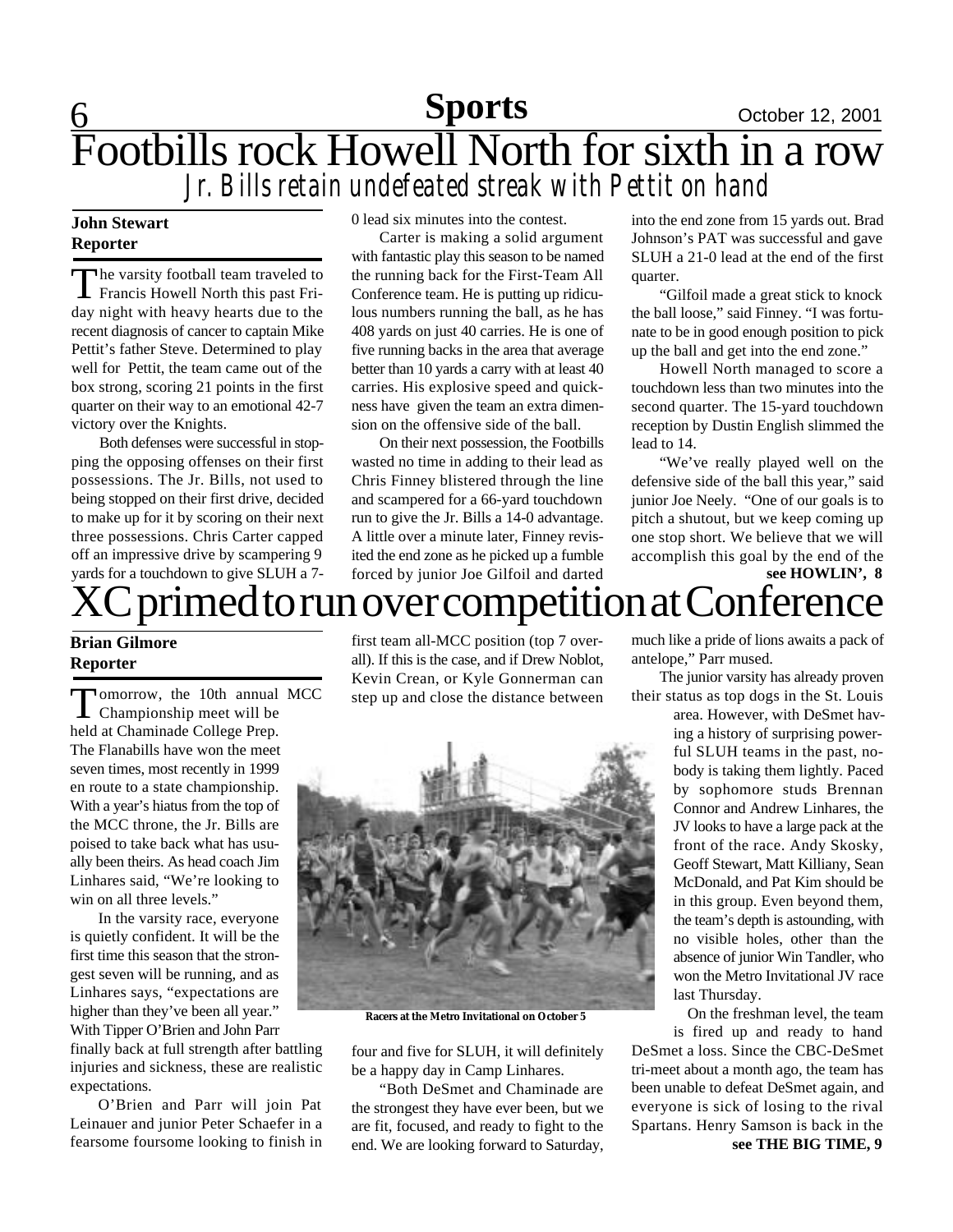# 6 **Sports** October 12, 2001 Footbills rock Howell North for sixth in a row *Jr. Bills retain undefeated streak with Pettit on hand*

### **John Stewart Reporter**

The varsity football team traveled to<br>Francis Howell North this past Fri-The varsity football team traveled to day night with heavy hearts due to the recent diagnosis of cancer to captain Mike Pettit's father Steve. Determined to play well for Pettit, the team came out of the box strong, scoring 21 points in the first quarter on their way to an emotional 42-7 victory over the Knights.

Both defenses were successful in stopping the opposing offenses on their first possessions. The Jr. Bills, not used to being stopped on their first drive, decided to make up for it by scoring on their next three possessions. Chris Carter capped off an impressive drive by scampering 9 yards for a touchdown to give SLUH a 70 lead six minutes into the contest.

Carter is making a solid argument with fantastic play this season to be named the running back for the First-Team All Conference team. He is putting up ridiculous numbers running the ball, as he has 408 yards on just 40 carries. He is one of five running backs in the area that average better than 10 yards a carry with at least 40 carries. His explosive speed and quickness have given the team an extra dimension on the offensive side of the ball.

On their next possession, the Footbills wasted no time in adding to their lead as Chris Finney blistered through the line and scampered for a 66-yard touchdown run to give the Jr. Bills a 14-0 advantage. A little over a minute later, Finney revisited the end zone as he picked up a fumble forced by junior Joe Gilfoil and darted

into the end zone from 15 yards out. Brad Johnson's PAT was successful and gave SLUH a 21-0 lead at the end of the first quarter.

"Gilfoil made a great stick to knock the ball loose," said Finney. "I was fortunate to be in good enough position to pick up the ball and get into the end zone."

Howell North managed to score a touchdown less than two minutes into the second quarter. The 15-yard touchdown reception by Dustin English slimmed the lead to 14.

"We've really played well on the defensive side of the ball this year," said junior Joe Neely. "One of our goals is to pitch a shutout, but we keep coming up one stop short. We believe that we will accomplish this goal by the end of the **see HOWLIN', 8**

# XC primed to run over competition at Conference

### **Brian Gilmore Reporter**

Tomorrow, the 10th annual<br>Championship meet will be omorrow, the 10th annual MCC held at Chaminade College Prep. The Flanabills have won the meet seven times, most recently in 1999 en route to a state championship. With a year's hiatus from the top of the MCC throne, the Jr. Bills are poised to take back what has usually been theirs. As head coach Jim Linhares said, "We're looking to win on all three levels."

In the varsity race, everyone is quietly confident. It will be the first time this season that the strongest seven will be running, and as Linhares says, "expectations are higher than they've been all year." With Tipper O'Brien and John Parr finally back at full strength after battling

injuries and sickness, these are realistic expectations.

O'Brien and Parr will join Pat Leinauer and junior Peter Schaefer in a fearsome foursome looking to finish in

first team all-MCC position (top 7 overall). If this is the case, and if Drew Noblot, Kevin Crean, or Kyle Gonnerman can step up and close the distance between



**Racers at the Metro Invitational on October 5**

four and five for SLUH, it will definitely be a happy day in Camp Linhares.

"Both DeSmet and Chaminade are the strongest they have ever been, but we are fit, focused, and ready to fight to the end. We are looking forward to Saturday, much like a pride of lions awaits a pack of antelope," Parr mused.

The junior varsity has already proven their status as top dogs in the St. Louis

> area. However, with DeSmet having a history of surprising powerful SLUH teams in the past, nobody is taking them lightly. Paced by sophomore studs Brennan Connor and Andrew Linhares, the JV looks to have a large pack at the front of the race. Andy Skosky, Geoff Stewart, Matt Killiany, Sean McDonald, and Pat Kim should be in this group. Even beyond them, the team's depth is astounding, with no visible holes, other than the absence of junior Win Tandler, who won the Metro Invitational JV race last Thursday.

On the freshman level, the team

is fired up and ready to hand DeSmet a loss. Since the CBC-DeSmet tri-meet about a month ago, the team has been unable to defeat DeSmet again, and everyone is sick of losing to the rival Spartans. Henry Samson is back in the **see THE BIG TIME, 9**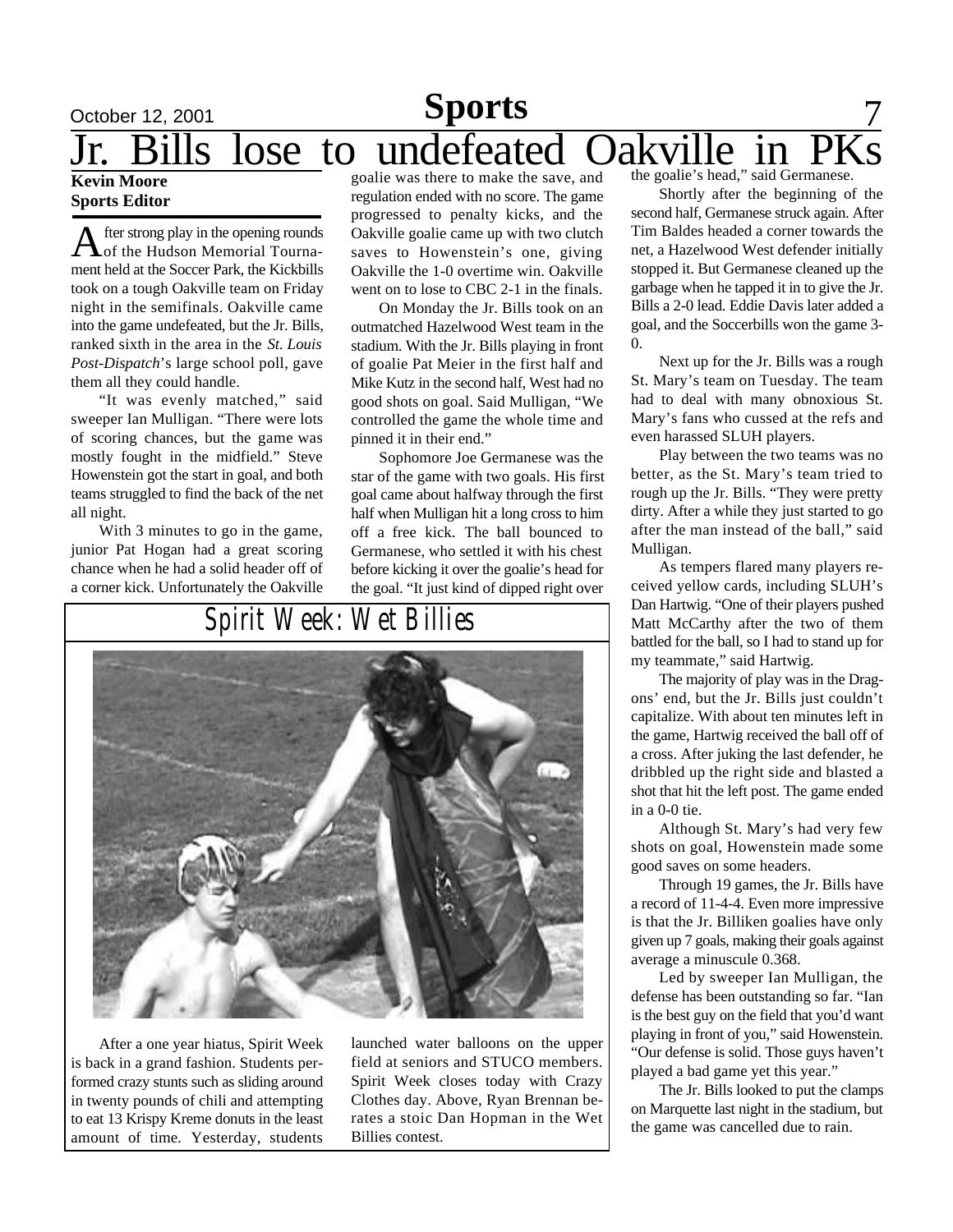### October 12, 2001 **Sports** 7 **Kevin Moore** Jr. Bills lose to undefeated Oakville in **Sports**

### **Sports Editor**

A fter strong play in the opening rounds<br>of the Hudson Memorial Tournafter strong play in the opening rounds ment held at the Soccer Park, the Kickbills took on a tough Oakville team on Friday night in the semifinals. Oakville came into the game undefeated, but the Jr. Bills, ranked sixth in the area in the *St. Louis Post-Dispatch*'s large school poll, gave them all they could handle.

"It was evenly matched," said sweeper Ian Mulligan. "There were lots of scoring chances, but the game was mostly fought in the midfield." Steve Howenstein got the start in goal, and both teams struggled to find the back of the net all night.

With 3 minutes to go in the game, junior Pat Hogan had a great scoring chance when he had a solid header off of a corner kick. Unfortunately the Oakville

goalie was there to make the save, and regulation ended with no score. The game progressed to penalty kicks, and the Oakville goalie came up with two clutch saves to Howenstein's one, giving Oakville the 1-0 overtime win. Oakville went on to lose to CBC 2-1 in the finals.

On Monday the Jr. Bills took on an outmatched Hazelwood West team in the stadium. With the Jr. Bills playing in front of goalie Pat Meier in the first half and Mike Kutz in the second half, West had no good shots on goal. Said Mulligan, "We controlled the game the whole time and pinned it in their end."

Sophomore Joe Germanese was the star of the game with two goals. His first goal came about halfway through the first half when Mulligan hit a long cross to him off a free kick. The ball bounced to Germanese, who settled it with his chest before kicking it over the goalie's head for the goal. "It just kind of dipped right over

## *Spirit Week: Wet Billies*



After a one year hiatus, Spirit Week is back in a grand fashion. Students performed crazy stunts such as sliding around in twenty pounds of chili and attempting to eat 13 Krispy Kreme donuts in the least amount of time. Yesterday, students

launched water balloons on the upper field at seniors and STUCO members. Spirit Week closes today with Crazy Clothes day. Above, Ryan Brennan berates a stoic Dan Hopman in the Wet Billies contest.

the goalie's head," said Germanese.

Shortly after the beginning of the second half, Germanese struck again. After Tim Baldes headed a corner towards the net, a Hazelwood West defender initially stopped it. But Germanese cleaned up the garbage when he tapped it in to give the Jr. Bills a 2-0 lead. Eddie Davis later added a goal, and the Soccerbills won the game 3-  $\theta$ .

Next up for the Jr. Bills was a rough St. Mary's team on Tuesday. The team had to deal with many obnoxious St. Mary's fans who cussed at the refs and even harassed SLUH players.

Play between the two teams was no better, as the St. Mary's team tried to rough up the Jr. Bills. "They were pretty dirty. After a while they just started to go after the man instead of the ball," said Mulligan.

As tempers flared many players received yellow cards, including SLUH's Dan Hartwig. "One of their players pushed Matt McCarthy after the two of them battled for the ball, so I had to stand up for my teammate," said Hartwig.

The majority of play was in the Dragons' end, but the Jr. Bills just couldn't capitalize. With about ten minutes left in the game, Hartwig received the ball off of a cross. After juking the last defender, he dribbled up the right side and blasted a shot that hit the left post. The game ended in a 0-0 tie.

Although St. Mary's had very few shots on goal, Howenstein made some good saves on some headers.

Through 19 games, the Jr. Bills have a record of 11-4-4. Even more impressive is that the Jr. Billiken goalies have only given up 7 goals, making their goals against average a minuscule 0.368.

Led by sweeper Ian Mulligan, the defense has been outstanding so far. "Ian is the best guy on the field that you'd want playing in front of you," said Howenstein. "Our defense is solid. Those guys haven't played a bad game yet this year."

The Jr. Bills looked to put the clamps on Marquette last night in the stadium, but the game was cancelled due to rain.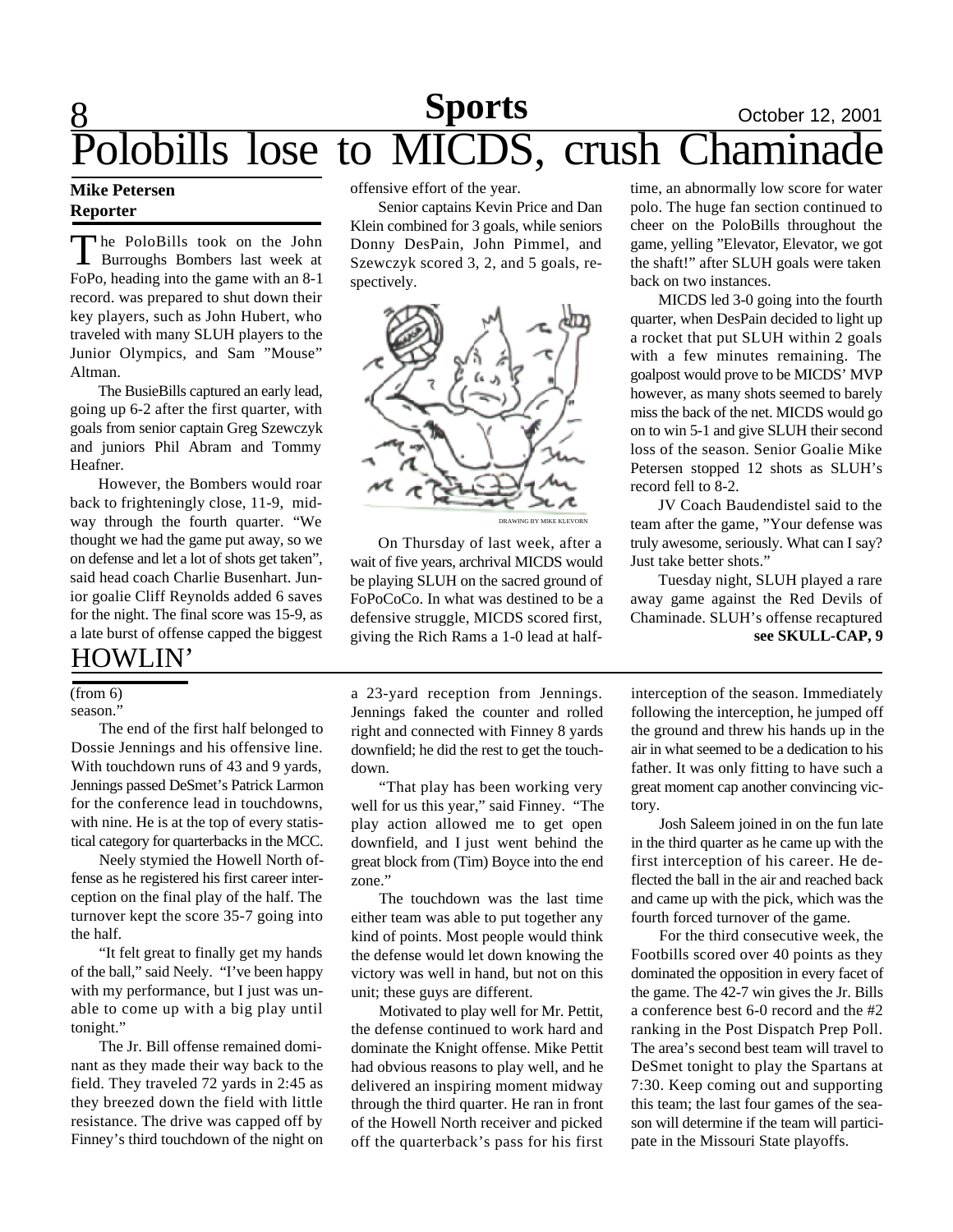# 8 **Sports** October 12, 2001 polills lose to MICDS, crush Chaminades

#### **Mike Petersen Reporter**

The PoloBills took on the John<br>Burroughs Bombers last week at he PoloBills took on the John FoPo, heading into the game with an 8-1 record. was prepared to shut down their key players, such as John Hubert, who traveled with many SLUH players to the Junior Olympics, and Sam "Mouse" Altman.

The BusieBills captured an early lead, going up 6-2 after the first quarter, with goals from senior captain Greg Szewczyk and juniors Phil Abram and Tommy Heafner.

However, the Bombers would roar back to frighteningly close, 11-9, midway through the fourth quarter. "We thought we had the game put away, so we on defense and let a lot of shots get taken", said head coach Charlie Busenhart. Junior goalie Cliff Reynolds added 6 saves for the night. The final score was 15-9, as a late burst of offense capped the biggest

### HOWLIN'

#### (from 6)

season."

The end of the first half belonged to Dossie Jennings and his offensive line. With touchdown runs of 43 and 9 yards, Jennings passed DeSmet's Patrick Larmon for the conference lead in touchdowns, with nine. He is at the top of every statistical category for quarterbacks in the MCC.

Neely stymied the Howell North offense as he registered his first career interception on the final play of the half. The turnover kept the score 35-7 going into the half.

"It felt great to finally get my hands of the ball," said Neely. "I've been happy with my performance, but I just was unable to come up with a big play until tonight."

The Jr. Bill offense remained dominant as they made their way back to the field. They traveled 72 yards in 2:45 as they breezed down the field with little resistance. The drive was capped off by Finney's third touchdown of the night on offensive effort of the year.

Senior captains Kevin Price and Dan Klein combined for 3 goals, while seniors Donny DesPain, John Pimmel, and Szewczyk scored 3, 2, and 5 goals, respectively.



On Thursday of last week, after a wait of five years, archrival MICDS would be playing SLUH on the sacred ground of FoPoCoCo. In what was destined to be a defensive struggle, MICDS scored first, giving the Rich Rams a 1-0 lead at half-

a 23-yard reception from Jennings. Jennings faked the counter and rolled right and connected with Finney 8 yards downfield; he did the rest to get the touchdown.

"That play has been working very well for us this year," said Finney. "The play action allowed me to get open downfield, and I just went behind the great block from (Tim) Boyce into the end zone."

The touchdown was the last time either team was able to put together any kind of points. Most people would think the defense would let down knowing the victory was well in hand, but not on this unit; these guys are different.

Motivated to play well for Mr. Pettit, the defense continued to work hard and dominate the Knight offense. Mike Pettit had obvious reasons to play well, and he delivered an inspiring moment midway through the third quarter. He ran in front of the Howell North receiver and picked off the quarterback's pass for his first

time, an abnormally low score for water polo. The huge fan section continued to cheer on the PoloBills throughout the game, yelling "Elevator, Elevator, we got the shaft!" after SLUH goals were taken back on two instances.

MICDS led 3-0 going into the fourth quarter, when DesPain decided to light up a rocket that put SLUH within 2 goals with a few minutes remaining. The goalpost would prove to be MICDS' MVP however, as many shots seemed to barely miss the back of the net. MICDS would go on to win 5-1 and give SLUH their second loss of the season. Senior Goalie Mike Petersen stopped 12 shots as SLUH's record fell to 8-2.

JV Coach Baudendistel said to the team after the game, "Your defense was truly awesome, seriously. What can I say? Just take better shots."

Tuesday night, SLUH played a rare away game against the Red Devils of Chaminade. SLUH's offense recaptured **see SKULL-CAP, 9**

interception of the season. Immediately following the interception, he jumped off the ground and threw his hands up in the air in what seemed to be a dedication to his father. It was only fitting to have such a great moment cap another convincing victory.

Josh Saleem joined in on the fun late in the third quarter as he came up with the first interception of his career. He deflected the ball in the air and reached back and came up with the pick, which was the fourth forced turnover of the game.

For the third consecutive week, the Footbills scored over 40 points as they dominated the opposition in every facet of the game. The 42-7 win gives the Jr. Bills a conference best 6-0 record and the #2 ranking in the Post Dispatch Prep Poll. The area's second best team will travel to DeSmet tonight to play the Spartans at 7:30. Keep coming out and supporting this team; the last four games of the season will determine if the team will participate in the Missouri State playoffs.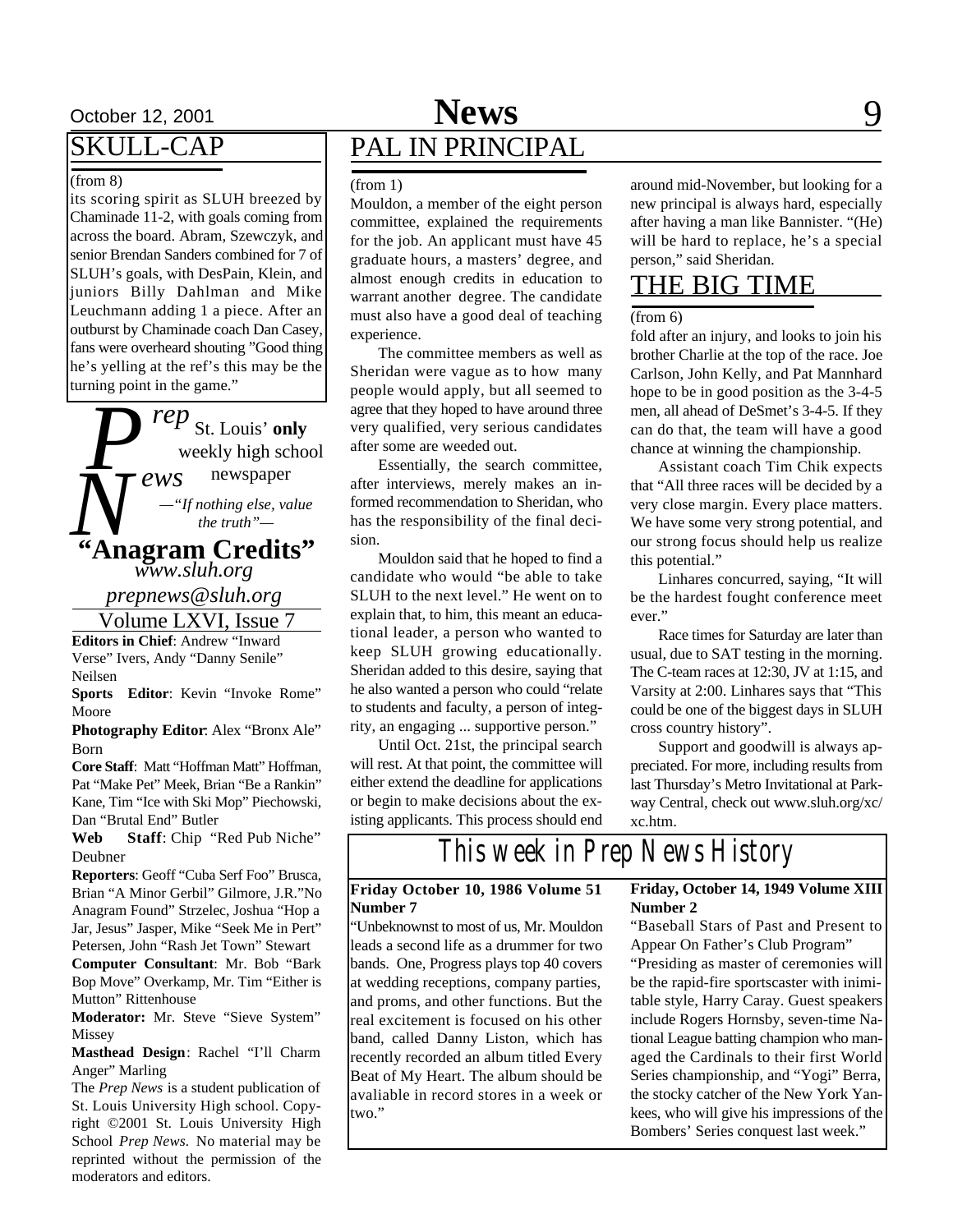### SKULL-CAP

#### (from 8)

its scoring spirit as SLUH breezed by Chaminade 11-2, with goals coming from across the board. Abram, Szewczyk, and senior Brendan Sanders combined for 7 of SLUH's goals, with DesPain, Klein, and juniors Billy Dahlman and Mike Leuchmann adding 1 a piece. After an outburst by Chaminade coach Dan Casey, fans were overheard shouting "Good thing he's yelling at the ref's this may be the turning point in the game."

*P*  $\tilde{\bigwedge}_{\mu_{\text{Ans}}}$  *rep* St. Louis' **only** *ews* weekly high school newspaper *www.sluh.org* **"Anagram Credits"** *—"If nothing else, value the truth"—*

*prepnews@sluh.org*

Volume LXVI, Issue 7

**Editors in Chief**: Andrew "Inward Verse" Ivers, Andy "Danny Senile" Neilsen

**Sports Editor**: Kevin "Invoke Rome" Moore

**Photography Editor**: Alex "Bronx Ale" Born

**Core Staff**: Matt "Hoffman Matt" Hoffman, Pat "Make Pet" Meek, Brian "Be a Rankin" Kane, Tim "Ice with Ski Mop" Piechowski, Dan "Brutal End" Butler

**Web Staff**: Chip "Red Pub Niche" Deubner

**Reporters**: Geoff "Cuba Serf Foo" Brusca, Brian "A Minor Gerbil" Gilmore, J.R."No Anagram Found" Strzelec, Joshua "Hop a Jar, Jesus" Jasper, Mike "Seek Me in Pert" Petersen, John "Rash Jet Town" Stewart **Computer Consultant**: Mr. Bob "Bark Bop Move" Overkamp, Mr. Tim "Either is

Mutton" Rittenhouse **Moderator:** Mr. Steve "Sieve System" Missey

**Masthead Design**: Rachel "I'll Charm Anger" Marling

The *Prep News* is a student publication of St. Louis University High school. Copyright ©2001 St. Louis University High School *Prep News.* No material may be reprinted without the permission of the moderators and editors.

### October 12, 2001 **News** 9 PAL IN PRINCIPAL **News**

#### (from 1)

Mouldon, a member of the eight person committee, explained the requirements for the job. An applicant must have 45 graduate hours, a masters' degree, and almost enough credits in education to warrant another degree. The candidate must also have a good deal of teaching experience.

The committee members as well as Sheridan were vague as to how many people would apply, but all seemed to agree that they hoped to have around three very qualified, very serious candidates after some are weeded out.

Essentially, the search committee, after interviews, merely makes an informed recommendation to Sheridan, who has the responsibility of the final decision.

Mouldon said that he hoped to find a candidate who would "be able to take SLUH to the next level." He went on to explain that, to him, this meant an educational leader, a person who wanted to keep SLUH growing educationally. Sheridan added to this desire, saying that he also wanted a person who could "relate to students and faculty, a person of integrity, an engaging ... supportive person."

Until Oct. 21st, the principal search will rest. At that point, the committee will either extend the deadline for applications or begin to make decisions about the existing applicants. This process should end

around mid-November, but looking for a new principal is always hard, especially after having a man like Bannister. "(He) will be hard to replace, he's a special person," said Sheridan.

### THE BIG TIME

#### (from 6)

fold after an injury, and looks to join his brother Charlie at the top of the race. Joe Carlson, John Kelly, and Pat Mannhard hope to be in good position as the 3-4-5 men, all ahead of DeSmet's 3-4-5. If they can do that, the team will have a good chance at winning the championship.

Assistant coach Tim Chik expects that "All three races will be decided by a very close margin. Every place matters. We have some very strong potential, and our strong focus should help us realize this potential."

Linhares concurred, saying, "It will be the hardest fought conference meet ever."

Race times for Saturday are later than usual, due to SAT testing in the morning. The C-team races at 12:30, JV at 1:15, and Varsity at 2:00. Linhares says that "This could be one of the biggest days in SLUH cross country history".

Support and goodwill is always appreciated. For more, including results from last Thursday's Metro Invitational at Parkway Central, check out www.sluh.org/xc/ xc.htm.

*This week in Prep News History*

#### **Friday October 10, 1986 Volume 51 Number 7**

"Unbeknownst to most of us, Mr. Mouldon leads a second life as a drummer for two bands. One, Progress plays top 40 covers at wedding receptions, company parties, and proms, and other functions. But the real excitement is focused on his other band, called Danny Liston, which has recently recorded an album titled Every Beat of My Heart. The album should be avaliable in record stores in a week or two."

**Friday, October 14, 1949 Volume XIII Number 2**

"Baseball Stars of Past and Present to Appear On Father's Club Program"

"Presiding as master of ceremonies will be the rapid-fire sportscaster with inimitable style, Harry Caray. Guest speakers include Rogers Hornsby, seven-time National League batting champion who managed the Cardinals to their first World Series championship, and "Yogi" Berra, the stocky catcher of the New York Yankees, who will give his impressions of the Bombers' Series conquest last week."